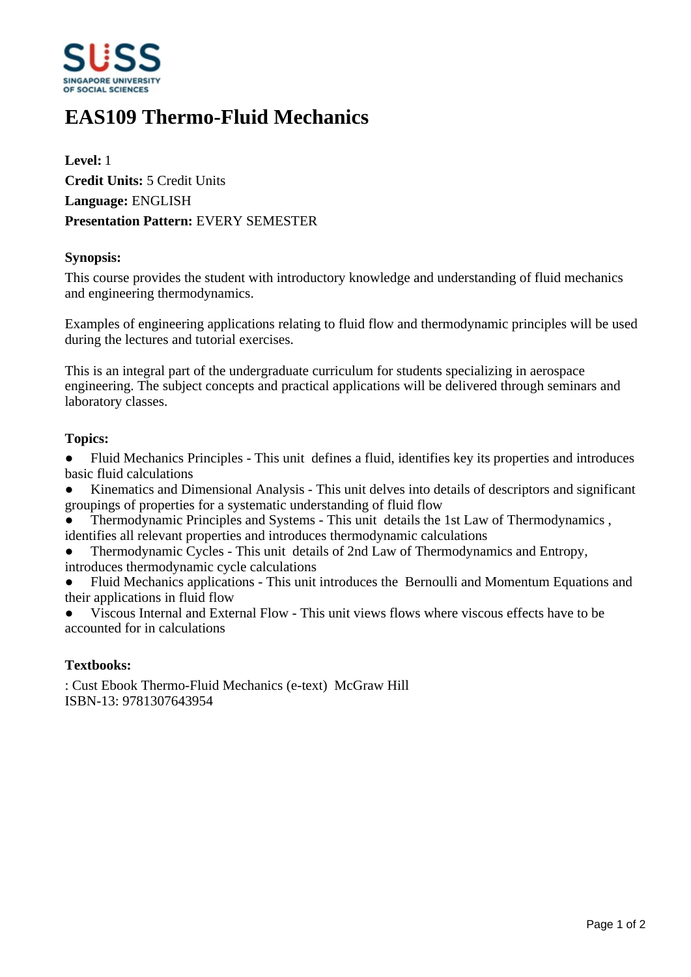

# **EAS109 Thermo-Fluid Mechanics**

**Level:** 1 **Credit Units:** 5 Credit Units **Language:** ENGLISH **Presentation Pattern:** EVERY SEMESTER

#### **Synopsis:**

This course provides the student with introductory knowledge and understanding of fluid mechanics and engineering thermodynamics.

Examples of engineering applications relating to fluid flow and thermodynamic principles will be used during the lectures and tutorial exercises.

This is an integral part of the undergraduate curriculum for students specializing in aerospace engineering. The subject concepts and practical applications will be delivered through seminars and laboratory classes.

#### **Topics:**

• Fluid Mechanics Principles - This unit defines a fluid, identifies key its properties and introduces basic fluid calculations

ƔKinematics and Dimensional Analysis - This unit delves into details of descriptors and significant groupings of properties for a systematic understanding of fluid flow

ƔThermodynamic Principles and Systems - This unit details the 1st Law of Thermodynamics , identifies all relevant properties and introduces thermodynamic calculations

ƔThermodynamic Cycles - This unit details of 2nd Law of Thermodynamics and Entropy,

introduces thermodynamic cycle calculations

Fluid Mechanics applications - This unit introduces the Bernoulli and Momentum Equations and their applications in fluid flow

ƔViscous Internal and External Flow - This unit views flows where viscous effects have to be accounted for in calculations

### **Textbooks:**

: Cust Ebook Thermo-Fluid Mechanics (e-text) McGraw Hill ISBN-13: 9781307643954